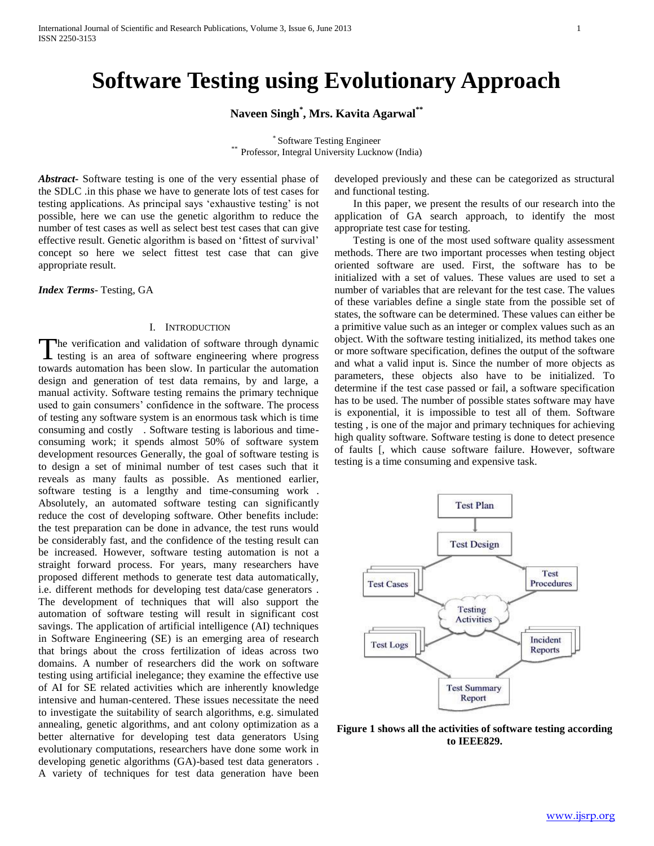# **Software Testing using Evolutionary Approach**

# **Naveen Singh\* , Mrs. Kavita Agarwal\*\***

\* Software Testing Engineer \*\* Professor, Integral University Lucknow (India)

*Abstract***-** Software testing is one of the very essential phase of the SDLC .in this phase we have to generate lots of test cases for testing applications. As principal says 'exhaustive testing' is not possible, here we can use the genetic algorithm to reduce the number of test cases as well as select best test cases that can give effective result. Genetic algorithm is based on 'fittest of survival' concept so here we select fittest test case that can give appropriate result.

*Index Terms*- Testing, GA

# I. INTRODUCTION

The verification and validation of software through dynamic<br>testing is an area of software engineering where progress testing is an area of software engineering where progress towards automation has been slow. In particular the automation design and generation of test data remains, by and large, a manual activity. Software testing remains the primary technique used to gain consumers' confidence in the software. The process of testing any software system is an enormous task which is time consuming and costly . Software testing is laborious and timeconsuming work; it spends almost 50% of software system development resources Generally, the goal of software testing is to design a set of minimal number of test cases such that it reveals as many faults as possible. As mentioned earlier, software testing is a lengthy and time-consuming work . Absolutely, an automated software testing can significantly reduce the cost of developing software. Other benefits include: the test preparation can be done in advance, the test runs would be considerably fast, and the confidence of the testing result can be increased. However, software testing automation is not a straight forward process. For years, many researchers have proposed different methods to generate test data automatically, i.e. different methods for developing test data/case generators . The development of techniques that will also support the automation of software testing will result in significant cost savings. The application of artificial intelligence (AI) techniques in Software Engineering (SE) is an emerging area of research that brings about the cross fertilization of ideas across two domains. A number of researchers did the work on software testing using artificial inelegance; they examine the effective use of AI for SE related activities which are inherently knowledge intensive and human-centered. These issues necessitate the need to investigate the suitability of search algorithms, e.g. simulated annealing, genetic algorithms, and ant colony optimization as a better alternative for developing test data generators Using evolutionary computations, researchers have done some work in developing genetic algorithms (GA)-based test data generators . A variety of techniques for test data generation have been

developed previously and these can be categorized as structural and functional testing.

 In this paper, we present the results of our research into the application of GA search approach, to identify the most appropriate test case for testing.

 Testing is one of the most used software quality assessment methods. There are two important processes when testing object oriented software are used. First, the software has to be initialized with a set of values. These values are used to set a number of variables that are relevant for the test case. The values of these variables define a single state from the possible set of states, the software can be determined. These values can either be a primitive value such as an integer or complex values such as an object. With the software testing initialized, its method takes one or more software specification, defines the output of the software and what a valid input is. Since the number of more objects as parameters, these objects also have to be initialized. To determine if the test case passed or fail, a software specification has to be used. The number of possible states software may have is exponential, it is impossible to test all of them. Software testing , is one of the major and primary techniques for achieving high quality software. Software testing is done to detect presence of faults [, which cause software failure. However, software testing is a time consuming and expensive task.



**Figure 1 shows all the activities of software testing according to IEEE829.**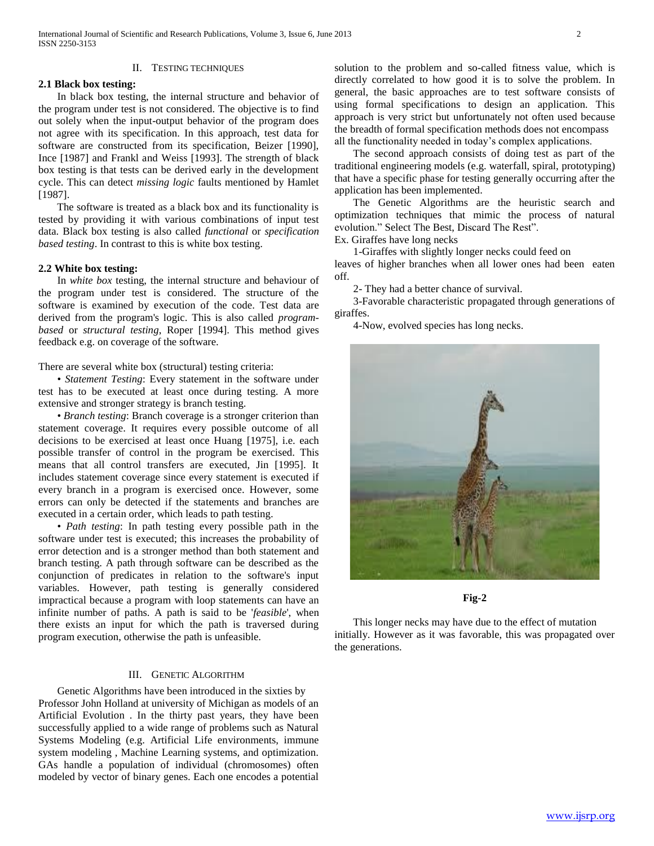#### II. TESTING TECHNIQUES

# **2.1 Black box testing:**

 In black box testing, the internal structure and behavior of the program under test is not considered. The objective is to find out solely when the input-output behavior of the program does not agree with its specification. In this approach, test data for software are constructed from its specification, Beizer [1990], Ince [1987] and Frankl and Weiss [1993]. The strength of black box testing is that tests can be derived early in the development cycle. This can detect *missing logic* faults mentioned by Hamlet [1987].

 The software is treated as a black box and its functionality is tested by providing it with various combinations of input test data. Black box testing is also called *functional* or *specification based testing*. In contrast to this is white box testing.

# **2.2 White box testing:**

 In *white box* testing, the internal structure and behaviour of the program under test is considered. The structure of the software is examined by execution of the code. Test data are derived from the program's logic. This is also called *programbased* or *structural testing*, Roper [1994]. This method gives feedback e.g. on coverage of the software.

There are several white box (structural) testing criteria:

 • *Statement Testing*: Every statement in the software under test has to be executed at least once during testing. A more extensive and stronger strategy is branch testing.

 • *Branch testing*: Branch coverage is a stronger criterion than statement coverage. It requires every possible outcome of all decisions to be exercised at least once Huang [1975], i.e. each possible transfer of control in the program be exercised. This means that all control transfers are executed, Jin [1995]. It includes statement coverage since every statement is executed if every branch in a program is exercised once. However, some errors can only be detected if the statements and branches are executed in a certain order, which leads to path testing.

 • *Path testing*: In path testing every possible path in the software under test is executed; this increases the probability of error detection and is a stronger method than both statement and branch testing. A path through software can be described as the conjunction of predicates in relation to the software's input variables. However, path testing is generally considered impractical because a program with loop statements can have an infinite number of paths. A path is said to be '*feasible*', when there exists an input for which the path is traversed during program execution, otherwise the path is unfeasible.

# III. GENETIC ALGORITHM

 Genetic Algorithms have been introduced in the sixties by Professor John Holland at university of Michigan as models of an Artificial Evolution . In the thirty past years, they have been successfully applied to a wide range of problems such as Natural Systems Modeling (e.g. Artificial Life environments, immune system modeling , Machine Learning systems, and optimization. GAs handle a population of individual (chromosomes) often modeled by vector of binary genes. Each one encodes a potential solution to the problem and so-called fitness value, which is directly correlated to how good it is to solve the problem. In general, the basic approaches are to test software consists of using formal specifications to design an application. This approach is very strict but unfortunately not often used because the breadth of formal specification methods does not encompass all the functionality needed in today's complex applications.

 The second approach consists of doing test as part of the traditional engineering models (e.g. waterfall, spiral, prototyping) that have a specific phase for testing generally occurring after the application has been implemented.

 The Genetic Algorithms are the heuristic search and optimization techniques that mimic the process of natural evolution." Select The Best, Discard The Rest".

Ex. Giraffes have long necks

 1-Giraffes with slightly longer necks could feed on leaves of higher branches when all lower ones had been eaten off.

2- They had a better chance of survival.

 3-Favorable characteristic propagated through generations of giraffes.

4-Now, evolved species has long necks.



# **Fig-2**

 This longer necks may have due to the effect of mutation initially. However as it was favorable, this was propagated over the generations.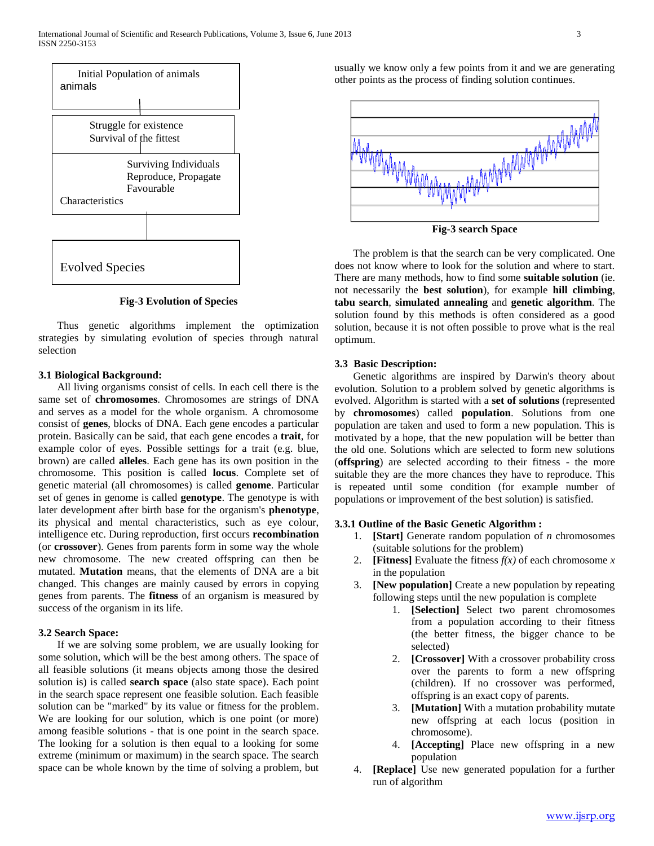

**Fig-3 Evolution of Species**

 Thus genetic algorithms implement the optimization strategies by simulating evolution of species through natural selection

# **3.1 Biological Background:**

 All living organisms consist of cells. In each cell there is the same set of **chromosomes**. Chromosomes are strings of DNA and serves as a model for the whole organism. A chromosome consist of **genes**, blocks of DNA. Each gene encodes a particular protein. Basically can be said, that each gene encodes a **trait**, for example color of eyes. Possible settings for a trait (e.g. blue, brown) are called **alleles**. Each gene has its own position in the chromosome. This position is called **locus**. Complete set of genetic material (all chromosomes) is called **genome**. Particular set of genes in genome is called **genotype**. The genotype is with later development after birth base for the organism's **phenotype**, its physical and mental characteristics, such as eye colour, intelligence etc. During reproduction, first occurs **recombination** (or **crossover**). Genes from parents form in some way the whole new chromosome. The new created offspring can then be mutated. **Mutation** means, that the elements of DNA are a bit changed. This changes are mainly caused by errors in copying genes from parents. The **fitness** of an organism is measured by success of the organism in its life.

# **3.2 Search Space:**

 If we are solving some problem, we are usually looking for some solution, which will be the best among others. The space of all feasible solutions (it means objects among those the desired solution is) is called **search space** (also state space). Each point in the search space represent one feasible solution. Each feasible solution can be "marked" by its value or fitness for the problem. We are looking for our solution, which is one point (or more) among feasible solutions - that is one point in the search space. The looking for a solution is then equal to a looking for some extreme (minimum or maximum) in the search space. The search space can be whole known by the time of solving a problem, but usually we know only a few points from it and we are generating other points as the process of finding solution continues.



 The problem is that the search can be very complicated. One does not know where to look for the solution and where to start. There are many methods, how to find some **suitable solution** (ie. not necessarily the **best solution**), for example **hill climbing**, **tabu search**, **simulated annealing** and **genetic algorithm**. The solution found by this methods is often considered as a good solution, because it is not often possible to prove what is the real optimum.

# **3.3 Basic Description:**

 Genetic algorithms are inspired by Darwin's theory about evolution. Solution to a problem solved by genetic algorithms is evolved. Algorithm is started with a **set of solutions** (represented by **chromosomes**) called **population**. Solutions from one population are taken and used to form a new population. This is motivated by a hope, that the new population will be better than the old one. Solutions which are selected to form new solutions (**offspring**) are selected according to their fitness - the more suitable they are the more chances they have to reproduce. This is repeated until some condition (for example number of populations or improvement of the best solution) is satisfied.

# **3.3.1 Outline of the Basic Genetic Algorithm :**

- 1. **[Start]** Generate random population of *n* chromosomes (suitable solutions for the problem)
- 2. **[Fitness]** Evaluate the fitness  $f(x)$  of each chromosome  $x$ in the population
- 3. **[New population]** Create a new population by repeating following steps until the new population is complete
	- 1. **[Selection]** Select two parent chromosomes from a population according to their fitness (the better fitness, the bigger chance to be selected)
	- 2. **[Crossover]** With a crossover probability cross over the parents to form a new offspring (children). If no crossover was performed, offspring is an exact copy of parents.
	- 3. **[Mutation]** With a mutation probability mutate new offspring at each locus (position in chromosome).
	- 4. **[Accepting]** Place new offspring in a new population
- 4. **[Replace]** Use new generated population for a further run of algorithm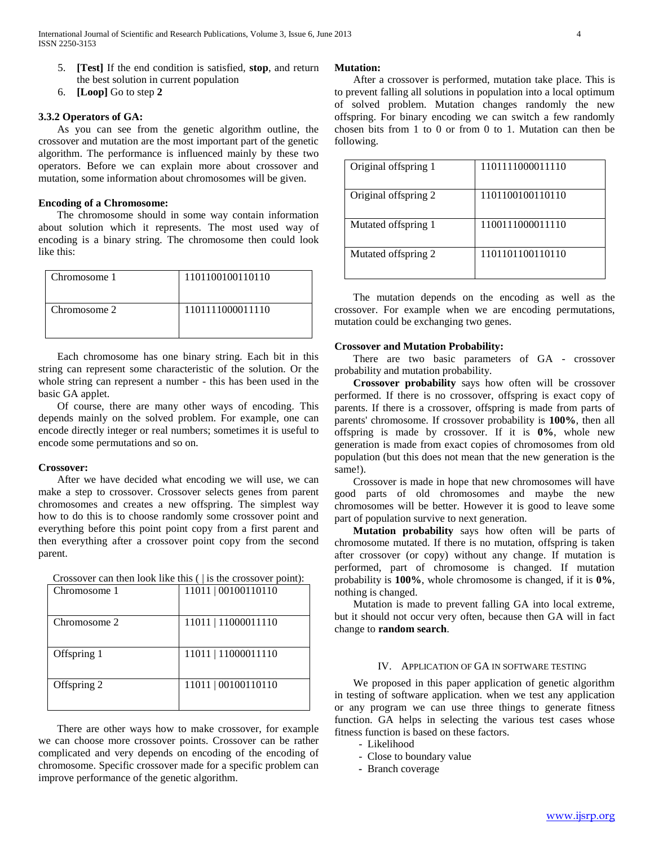- 5. **[Test]** If the end condition is satisfied, **stop**, and return the best solution in current population
- 6. **[Loop]** Go to step **2**

# **3.3.2 Operators of GA:**

 As you can see from the genetic algorithm outline, the crossover and mutation are the most important part of the genetic algorithm. The performance is influenced mainly by these two operators. Before we can explain more about crossover and mutation, some information about chromosomes will be given.

# **Encoding of a Chromosome:**

 The chromosome should in some way contain information about solution which it represents. The most used way of encoding is a binary string. The chromosome then could look like this:

| Chromosome 1 | 1101100100110110 |
|--------------|------------------|
| Chromosome 2 | 1101111000011110 |

 Each chromosome has one binary string. Each bit in this string can represent some characteristic of the solution. Or the whole string can represent a number - this has been used in the basic GA applet.

 Of course, there are many other ways of encoding. This depends mainly on the solved problem. For example, one can encode directly integer or real numbers; sometimes it is useful to encode some permutations and so on.

# **Crossover:**

 After we have decided what encoding we will use, we can make a step to crossover. Crossover selects genes from parent chromosomes and creates a new offspring. The simplest way how to do this is to choose randomly some crossover point and everything before this point point copy from a first parent and then everything after a crossover point copy from the second parent.

Crossover can then look like this ( | is the crossover point):

| Chromosome 1 | 11011   00100110110 |
|--------------|---------------------|
| Chromosome 2 | 11011   11000011110 |
| Offspring 1  | 11011   11000011110 |
| Offspring 2  | 11011   00100110110 |

 There are other ways how to make crossover, for example we can choose more crossover points. Crossover can be rather complicated and very depends on encoding of the encoding of chromosome. Specific crossover made for a specific problem can improve performance of the genetic algorithm.

#### **Mutation:**

 After a crossover is performed, mutation take place. This is to prevent falling all solutions in population into a local optimum of solved problem. Mutation changes randomly the new offspring. For binary encoding we can switch a few randomly chosen bits from 1 to 0 or from 0 to 1. Mutation can then be following.

| Original offspring 1 | 1101111000011110 |
|----------------------|------------------|
| Original offspring 2 | 1101100100110110 |
| Mutated offspring 1  | 1100111000011110 |
| Mutated offspring 2  | 1101101100110110 |

 The mutation depends on the encoding as well as the crossover. For example when we are encoding permutations, mutation could be exchanging two genes.

#### **Crossover and Mutation Probability:**

 There are two basic parameters of GA - crossover probability and mutation probability.

 **Crossover probability** says how often will be crossover performed. If there is no crossover, offspring is exact copy of parents. If there is a crossover, offspring is made from parts of parents' chromosome. If crossover probability is **100%**, then all offspring is made by crossover. If it is **0%**, whole new generation is made from exact copies of chromosomes from old population (but this does not mean that the new generation is the same!).

 Crossover is made in hope that new chromosomes will have good parts of old chromosomes and maybe the new chromosomes will be better. However it is good to leave some part of population survive to next generation.

 **Mutation probability** says how often will be parts of chromosome mutated. If there is no mutation, offspring is taken after crossover (or copy) without any change. If mutation is performed, part of chromosome is changed. If mutation probability is **100%**, whole chromosome is changed, if it is **0%**, nothing is changed.

 Mutation is made to prevent falling GA into local extreme, but it should not occur very often, because then GA will in fact change to **random search**.

#### IV. APPLICATION OF GA IN SOFTWARE TESTING

 We proposed in this paper application of genetic algorithm in testing of software application. when we test any application or any program we can use three things to generate fitness function. GA helps in selecting the various test cases whose fitness function is based on these factors.

- Likelihood
- Close to boundary value
- Branch coverage